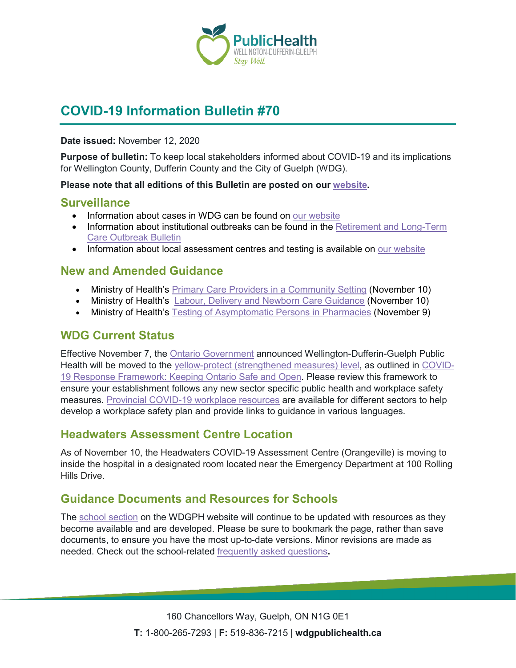

# **COVID-19 Information Bulletin #70**

#### **Date issued:** November 12, 2020

**Purpose of bulletin:** To keep local stakeholders informed about COVID-19 and its implications for Wellington County, Dufferin County and the City of Guelph (WDG).

#### **Please note that all editions of this Bulletin are posted on our [website.](https://www.wdgpublichealth.ca/your-health/covid-19-information-workplaces-and-living-spaces/community-stakeholder-bulletins)**

#### **Surveillance**

- Information about cases in WDG can be found on [our website](https://wdgpublichealth.ca/your-health/covid-19-information-public/status-cases-wdg)
- Information about institutional outbreaks can be found in the Retirement and Long-Term [Care Outbreak Bulletin](https://wdgpublichealth.ca/node/1542)
- Information about local assessment centres and testing is available on [our website](https://www.wdgpublichealth.ca/your-health/covid-19-information-public/assessment-centres-wdg)

### **New and Amended Guidance**

- Ministry of Health's [Primary Care Providers in a Community Setting](http://www.health.gov.on.ca/en/pro/programs/publichealth/coronavirus/docs/2019_primary_care_guidance.pdf) (November 10)
- Ministry of Health's [Labour, Delivery and Newborn Care Guidance](http://www.health.gov.on.ca/en/pro/programs/publichealth/coronavirus/docs/2019_labour_delivery_newborn_guidance.pdf) (November 10)
- Ministry of Health's [Testing of Asymptomatic Persons in Pharmacies](http://www.health.gov.on.ca/en/pro/programs/publichealth/coronavirus/docs/2019_guidance_asymptomatic_testing_pharmacies.pdf) (November 9)

#### **WDG Current Status**

Effective November 7, the [Ontario Government](https://news.ontario.ca/en/release/59081/ontario-moves-public-health-unit-regions-into-covid-19-response-framework-to-keep-ontario-safe-and-o) announced Wellington-Dufferin-Guelph Public Health will be moved to the [yellow-protect \(strengthened measures\) level,](https://www.ontario.ca/page/covid-19-response-framework-keeping-ontario-safe-and-open) as outlined in [COVID-](https://files.ontario.ca/moh-covid-19-response-framework-keeping-ontario-safe-and-open-en-2020-11-03-v2b.pdf)[19 Response Framework: Keeping Ontario Safe and Open.](https://files.ontario.ca/moh-covid-19-response-framework-keeping-ontario-safe-and-open-en-2020-11-03-v2b.pdf) Please review this framework to ensure your establishment follows any new sector specific public health and workplace safety measures. [Provincial COVID-19 workplace resources](https://www.ontario.ca/page/resources-prevent-covid-19-workplace) are available for different sectors to help develop a workplace safety plan and provide links to guidance in various languages.

### **Headwaters Assessment Centre Location**

As of November 10, the Headwaters COVID-19 Assessment Centre (Orangeville) is moving to inside the hospital in a designated room located near the Emergency Department at 100 Rolling Hills Drive.

### **Guidance Documents and Resources for Schools**

The [school section](https://www.wdgpublichealth.ca/your-health/covid-19-information-schools-parents-and-teachers/schools-and-post-secondary) on the WDGPH website will continue to be updated with resources as they become available and are developed. Please be sure to bookmark the page, rather than save documents, to ensure you have the most up-to-date versions. Minor revisions are made as needed. Check out the school-related [frequently asked questions](https://www.wdgpublichealth.ca/your-health/covid-19-information-schools-parents-and-teachers/schools-frequently-asked-questions)**.**